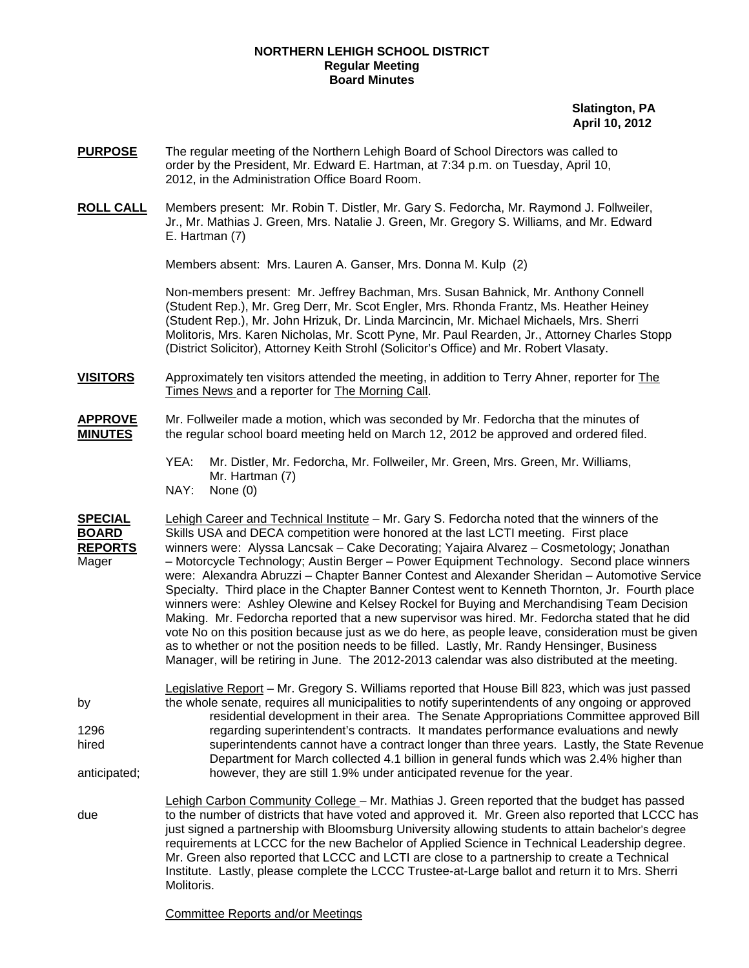## **NORTHERN LEHIGH SCHOOL DISTRICT Regular Meeting Board Minutes**

 **Slatington, PA April 10, 2012** 

- **PURPOSE** The regular meeting of the Northern Lehigh Board of School Directors was called to order by the President, Mr. Edward E. Hartman, at 7:34 p.m. on Tuesday, April 10, 2012, in the Administration Office Board Room.
- **ROLL CALL** Members present: Mr. Robin T. Distler, Mr. Gary S. Fedorcha, Mr. Raymond J. Follweiler, Jr., Mr. Mathias J. Green, Mrs. Natalie J. Green, Mr. Gregory S. Williams, and Mr. Edward E. Hartman (7)

Members absent: Mrs. Lauren A. Ganser, Mrs. Donna M. Kulp (2)

Non-members present: Mr. Jeffrey Bachman, Mrs. Susan Bahnick, Mr. Anthony Connell (Student Rep.), Mr. Greg Derr, Mr. Scot Engler, Mrs. Rhonda Frantz, Ms. Heather Heiney (Student Rep.), Mr. John Hrizuk, Dr. Linda Marcincin, Mr. Michael Michaels, Mrs. Sherri Molitoris, Mrs. Karen Nicholas, Mr. Scott Pyne, Mr. Paul Rearden, Jr., Attorney Charles Stopp (District Solicitor), Attorney Keith Strohl (Solicitor's Office) and Mr. Robert Vlasaty.

- **VISITORS** Approximately ten visitors attended the meeting, in addition to Terry Ahner, reporter for The Times News and a reporter for The Morning Call.
- **APPROVE** Mr. Follweiler made a motion, which was seconded by Mr. Fedorcha that the minutes of **MINUTES** the regular school board meeting held on March 12, 2012 be approved and ordered filed.
	- YEA: Mr. Distler, Mr. Fedorcha, Mr. Follweiler, Mr. Green, Mrs. Green, Mr. Williams, Mr. Hartman (7) NAY: None (0)
- **SPECIAL** Lehigh Career and Technical Institute Mr. Gary S. Fedorcha noted that the winners of the **BOARD** Skills USA and DECA competition were honored at the last LCTI meeting. First place **REPORTS** winners were: Alyssa Lancsak – Cake Decorating; Yajaira Alvarez – Cosmetology; Jonathan Mager – Motorcycle Technology; Austin Berger – Power Equipment Technology. Second place winners were: Alexandra Abruzzi – Chapter Banner Contest and Alexander Sheridan – Automotive Service Specialty. Third place in the Chapter Banner Contest went to Kenneth Thornton, Jr. Fourth place winners were: Ashley Olewine and Kelsey Rockel for Buying and Merchandising Team Decision Making. Mr. Fedorcha reported that a new supervisor was hired. Mr. Fedorcha stated that he did vote No on this position because just as we do here, as people leave, consideration must be given as to whether or not the position needs to be filled. Lastly, Mr. Randy Hensinger, Business Manager, will be retiring in June. The 2012-2013 calendar was also distributed at the meeting.
- Legislative Report Mr. Gregory S. Williams reported that House Bill 823, which was just passed by the whole senate, requires all municipalities to notify superintendents of any ongoing or approved residential development in their area. The Senate Appropriations Committee approved Bill 1296 regarding superintendent's contracts. It mandates performance evaluations and newly hired superintendents cannot have a contract longer than three years. Lastly, the State Revenue Department for March collected 4.1 billion in general funds which was 2.4% higher than anticipated; however, they are still 1.9% under anticipated revenue for the year.
- Lehigh Carbon Community College Mr. Mathias J. Green reported that the budget has passed due to the number of districts that have voted and approved it. Mr. Green also reported that LCCC has just signed a partnership with Bloomsburg University allowing students to attain bachelor's degree requirements at LCCC for the new Bachelor of Applied Science in Technical Leadership degree. Mr. Green also reported that LCCC and LCTI are close to a partnership to create a Technical Institute. Lastly, please complete the LCCC Trustee-at-Large ballot and return it to Mrs. Sherri Molitoris.

Committee Reports and/or Meetings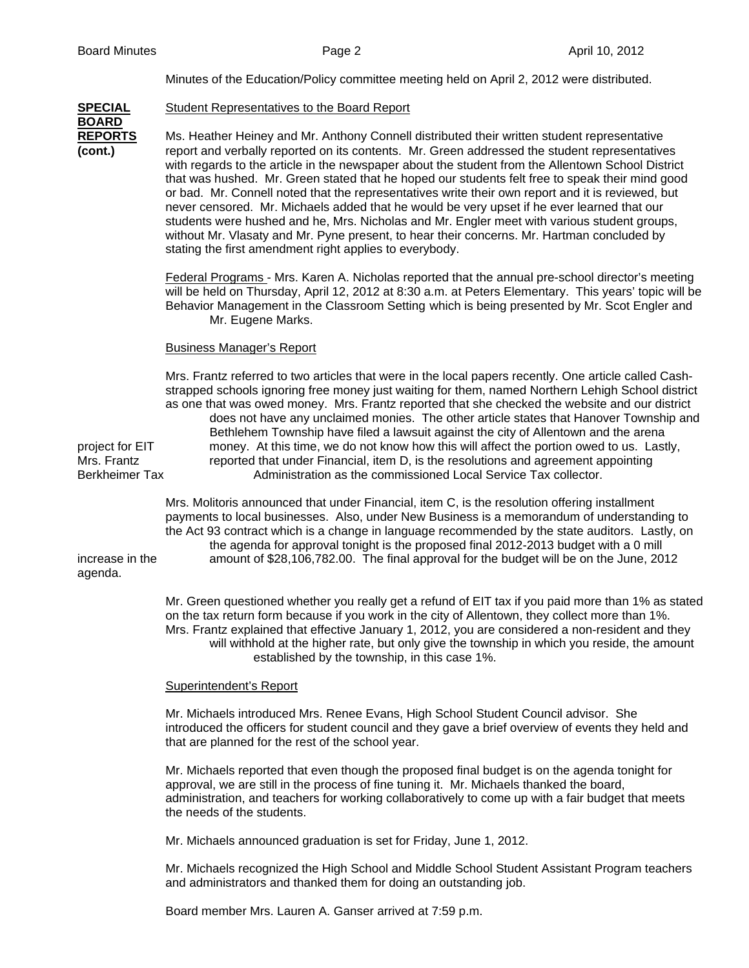Minutes of the Education/Policy committee meeting held on April 2, 2012 were distributed.

| <b>SPECIAL</b>                                          | Student Representatives to the Board Report                                                                                                                                                                                                                                                                                                                                                                                                                                                                                                                                                                                                                                                                                                                                                                                                                     |
|---------------------------------------------------------|-----------------------------------------------------------------------------------------------------------------------------------------------------------------------------------------------------------------------------------------------------------------------------------------------------------------------------------------------------------------------------------------------------------------------------------------------------------------------------------------------------------------------------------------------------------------------------------------------------------------------------------------------------------------------------------------------------------------------------------------------------------------------------------------------------------------------------------------------------------------|
| <b>BOARD</b><br><b>REPORTS</b><br>(cont.)               | Ms. Heather Heiney and Mr. Anthony Connell distributed their written student representative<br>report and verbally reported on its contents. Mr. Green addressed the student representatives<br>with regards to the article in the newspaper about the student from the Allentown School District<br>that was hushed. Mr. Green stated that he hoped our students felt free to speak their mind good<br>or bad. Mr. Connell noted that the representatives write their own report and it is reviewed, but<br>never censored. Mr. Michaels added that he would be very upset if he ever learned that our<br>students were hushed and he, Mrs. Nicholas and Mr. Engler meet with various student groups,<br>without Mr. Vlasaty and Mr. Pyne present, to hear their concerns. Mr. Hartman concluded by<br>stating the first amendment right applies to everybody. |
|                                                         | Federal Programs - Mrs. Karen A. Nicholas reported that the annual pre-school director's meeting<br>will be held on Thursday, April 12, 2012 at 8:30 a.m. at Peters Elementary. This years' topic will be<br>Behavior Management in the Classroom Setting which is being presented by Mr. Scot Engler and<br>Mr. Eugene Marks.                                                                                                                                                                                                                                                                                                                                                                                                                                                                                                                                  |
|                                                         | <b>Business Manager's Report</b>                                                                                                                                                                                                                                                                                                                                                                                                                                                                                                                                                                                                                                                                                                                                                                                                                                |
| project for EIT<br>Mrs. Frantz<br><b>Berkheimer Tax</b> | Mrs. Frantz referred to two articles that were in the local papers recently. One article called Cash-<br>strapped schools ignoring free money just waiting for them, named Northern Lehigh School district<br>as one that was owed money. Mrs. Frantz reported that she checked the website and our district<br>does not have any unclaimed monies. The other article states that Hanover Township and<br>Bethlehem Township have filed a lawsuit against the city of Allentown and the arena<br>money. At this time, we do not know how this will affect the portion owed to us. Lastly,<br>reported that under Financial, item D, is the resolutions and agreement appointing<br>Administration as the commissioned Local Service Tax collector.                                                                                                              |
| increase in the<br>agenda.                              | Mrs. Molitoris announced that under Financial, item C, is the resolution offering installment<br>payments to local businesses. Also, under New Business is a memorandum of understanding to<br>the Act 93 contract which is a change in language recommended by the state auditors. Lastly, on<br>the agenda for approval tonight is the proposed final 2012-2013 budget with a 0 mill<br>amount of \$28,106,782.00. The final approval for the budget will be on the June, 2012                                                                                                                                                                                                                                                                                                                                                                                |
|                                                         | Mr. Green questioned whether you really get a refund of EIT tax if you paid more than 1% as stated<br>on the tax return form because if you work in the city of Allentown, they collect more than 1%.<br>Mrs. Frantz explained that effective January 1, 2012, you are considered a non-resident and they<br>will withhold at the higher rate, but only give the township in which you reside, the amount<br>established by the township, in this case 1%.                                                                                                                                                                                                                                                                                                                                                                                                      |
|                                                         | <b>Superintendent's Report</b>                                                                                                                                                                                                                                                                                                                                                                                                                                                                                                                                                                                                                                                                                                                                                                                                                                  |
|                                                         | Mr. Michaels introduced Mrs. Renee Evans, High School Student Council advisor. She<br>introduced the officers for student council and they gave a brief overview of events they held and<br>that are planned for the rest of the school year.                                                                                                                                                                                                                                                                                                                                                                                                                                                                                                                                                                                                                   |
|                                                         | Mr. Michaels reported that even though the proposed final budget is on the agenda tonight for<br>approval, we are still in the process of fine tuning it. Mr. Michaels thanked the board,<br>administration, and teachers for working collaboratively to come up with a fair budget that meets<br>the needs of the students.                                                                                                                                                                                                                                                                                                                                                                                                                                                                                                                                    |
|                                                         | Mr. Michaels announced graduation is set for Friday, June 1, 2012.                                                                                                                                                                                                                                                                                                                                                                                                                                                                                                                                                                                                                                                                                                                                                                                              |

Mr. Michaels recognized the High School and Middle School Student Assistant Program teachers and administrators and thanked them for doing an outstanding job.

Board member Mrs. Lauren A. Ganser arrived at 7:59 p.m.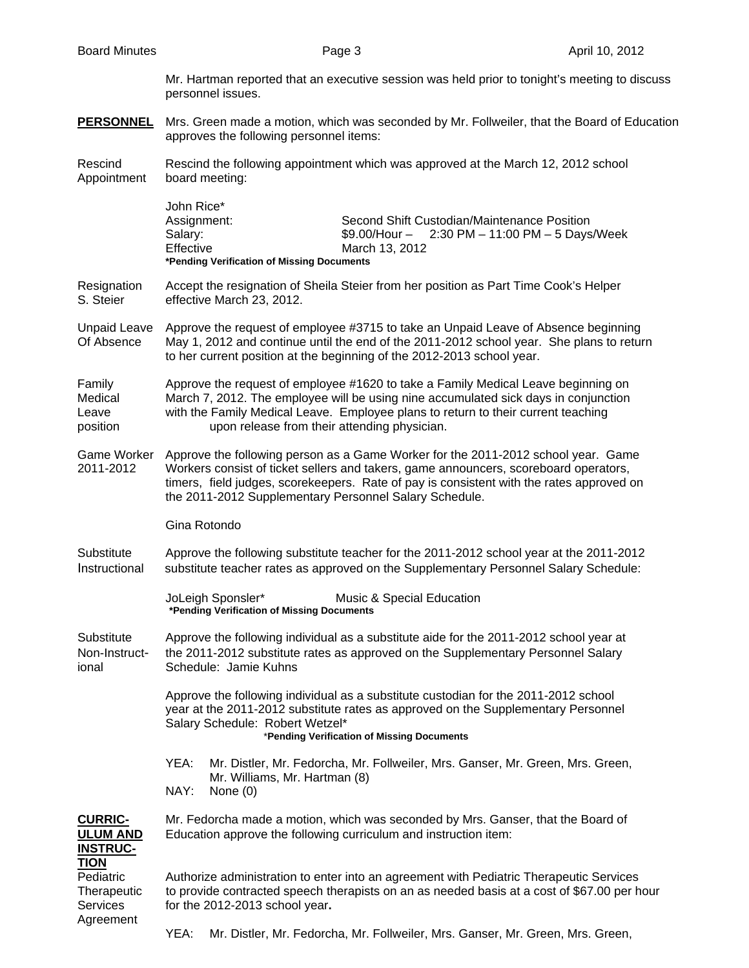Mr. Hartman reported that an executive session was held prior to tonight's meeting to discuss personnel issues.

**PERSONNEL** Mrs. Green made a motion, which was seconded by Mr. Follweiler, that the Board of Education approves the following personnel items:

Rescind Rescind the following appointment which was approved at the March 12, 2012 school Appointment board meeting:

| John Rice*  |                                                  |  |  |
|-------------|--------------------------------------------------|--|--|
| Assignment: | Second Shift Custodian/Maintenance Position      |  |  |
| Salarv:     | $$9.00/H$ our - 2:30 PM - 11:00 PM - 5 Days/Week |  |  |
| Effective   | March 13, 2012                                   |  |  |
|             | *Pending Verification of Missing Documents       |  |  |

Resignation Accept the resignation of Sheila Steier from her position as Part Time Cook's Helper S. Steier effective March 23, 2012.

Unpaid Leave Approve the request of employee #3715 to take an Unpaid Leave of Absence beginning Of Absence May 1, 2012 and continue until the end of the 2011-2012 school year. She plans to return to her current position at the beginning of the 2012-2013 school year.

Family Approve the request of employee #1620 to take a Family Medical Leave beginning on Medical March 7, 2012. The employee will be using nine accumulated sick days in conjunction Leave with the Family Medical Leave. Employee plans to return to their current teaching position upon release from their attending physician.

Game Worker Approve the following person as a Game Worker for the 2011-2012 school year. Game 2011-2012 Workers consist of ticket sellers and takers, game announcers, scoreboard operators, timers, field judges, scorekeepers. Rate of pay is consistent with the rates approved on the 2011-2012 Supplementary Personnel Salary Schedule.

Gina Rotondo

Substitute Approve the following substitute teacher for the 2011-2012 school year at the 2011-2012 Instructional substitute teacher rates as approved on the Supplementary Personnel Salary Schedule:

> JoLeigh Sponsler\* Music & Special Education **\*Pending Verification of Missing Documents**

Substitute Approve the following individual as a substitute aide for the 2011-2012 school year at Non-Instruct- the 2011-2012 substitute rates as approved on the Supplementary Personnel Salary ional Schedule: Jamie Kuhns

> Approve the following individual as a substitute custodian for the 2011-2012 school year at the 2011-2012 substitute rates as approved on the Supplementary Personnel Salary Schedule: Robert Wetzel\* \***Pending Verification of Missing Documents**

 YEA: Mr. Distler, Mr. Fedorcha, Mr. Follweiler, Mrs. Ganser, Mr. Green, Mrs. Green, Mr. Williams, Mr. Hartman (8) NAY: None (0)

**CURRIC-** Mr. Fedorcha made a motion, which was seconded by Mrs. Ganser, that the Board of **ULUM AND** Education approve the following curriculum and instruction item:

**INSTRUC-TION**

Pediatric Authorize administration to enter into an agreement with Pediatric Therapeutic Services Therapeutic to provide contracted speech therapists on an as needed basis at a cost of \$67.00 per hour Services for the 2012-2013 school year**.** Agreement

YEA: Mr. Distler, Mr. Fedorcha, Mr. Follweiler, Mrs. Ganser, Mr. Green, Mrs. Green,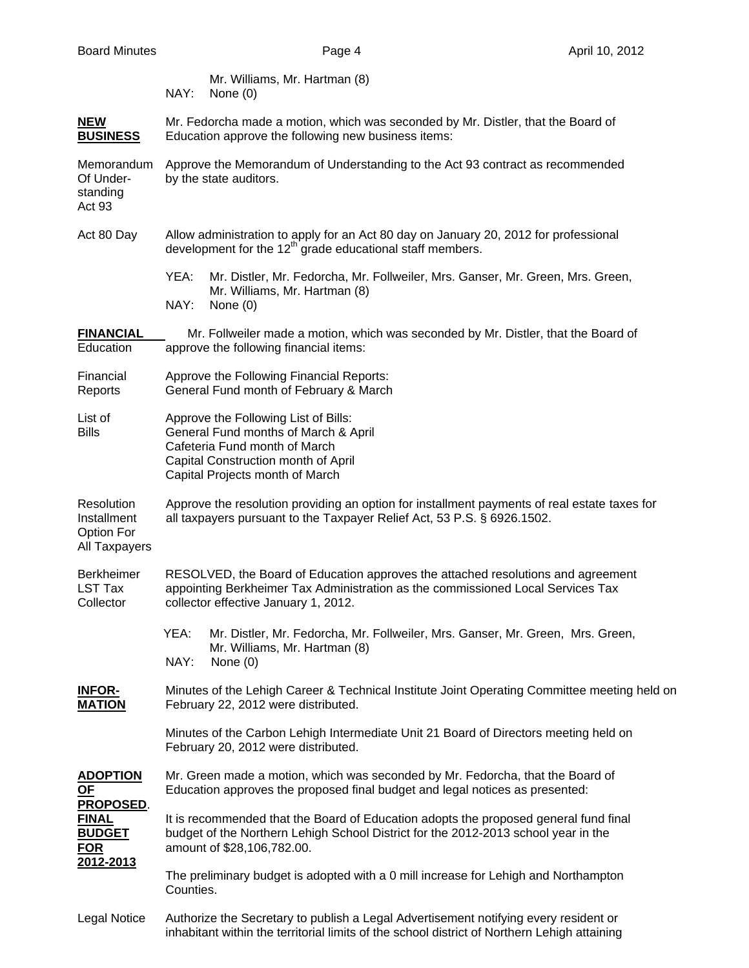| Mr. Williams, Mr. Hartman (8) |
|-------------------------------|
| $NAY:$ None $(0)$             |

| <b>NEW</b>      | Mr. Fedorcha made a motion, which was seconded by Mr. Distler, that the Board of |
|-----------------|----------------------------------------------------------------------------------|
| <b>BUSINESS</b> | Education approve the following new business items:                              |

 Memorandum Approve the Memorandum of Understanding to the Act 93 contract as recommended Of Under- by the state auditors.

 standing Act 93

- Act 80 Day Allow administration to apply for an Act 80 day on January 20, 2012 for professional development for the  $12<sup>th</sup>$  grade educational staff members.
	- YEA: Mr. Distler, Mr. Fedorcha, Mr. Follweiler, Mrs. Ganser, Mr. Green, Mrs. Green, Mr. Williams, Mr. Hartman (8) NAY: None (0)
- **FINANCIAL** Mr. Follweiler made a motion, which was seconded by Mr. Distler, that the Board of Education approve the following financial items:
- Financial Approve the Following Financial Reports: Reports General Fund month of February & March
- List of **Approve the Following List of Bills:** Bills General Fund months of March & April Cafeteria Fund month of March Capital Construction month of April Capital Projects month of March
- Resolution Approve the resolution providing an option for installment payments of real estate taxes for Installment all taxpayers pursuant to the Taxpayer Relief Act, 53 P.S. § 6926.1502. Option For
- All Taxpayers
- Berkheimer RESOLVED, the Board of Education approves the attached resolutions and agreement LST Tax appointing Berkheimer Tax Administration as the commissioned Local Services Tax Collector collector effective January 1, 2012.
	- YEA: Mr. Distler, Mr. Fedorcha, Mr. Follweiler, Mrs. Ganser, Mr. Green, Mrs. Green, Mr. Williams, Mr. Hartman (8) NAY: None (0)
- **INFOR-** Minutes of the Lehigh Career & Technical Institute Joint Operating Committee meeting held on **MATION** February 22, 2012 were distributed.
	- Minutes of the Carbon Lehigh Intermediate Unit 21 Board of Directors meeting held on February 20, 2012 were distributed.
- **ADOPTION** Mr. Green made a motion, which was seconded by Mr. Fedorcha, that the Board of **OF** Education approves the proposed final budget and legal notices as presented: **PROPOSED**.
- **FINAL** It is recommended that the Board of Education adopts the proposed general fund final **BUDGET** budget of the Northern Lehigh School District for the 2012-2013 school year in the **FOR** amount of \$28,106,782.00. **2012-2013**
	- The preliminary budget is adopted with a 0 mill increase for Lehigh and Northampton Counties.
- Legal Notice Authorize the Secretary to publish a Legal Advertisement notifying every resident or inhabitant within the territorial limits of the school district of Northern Lehigh attaining